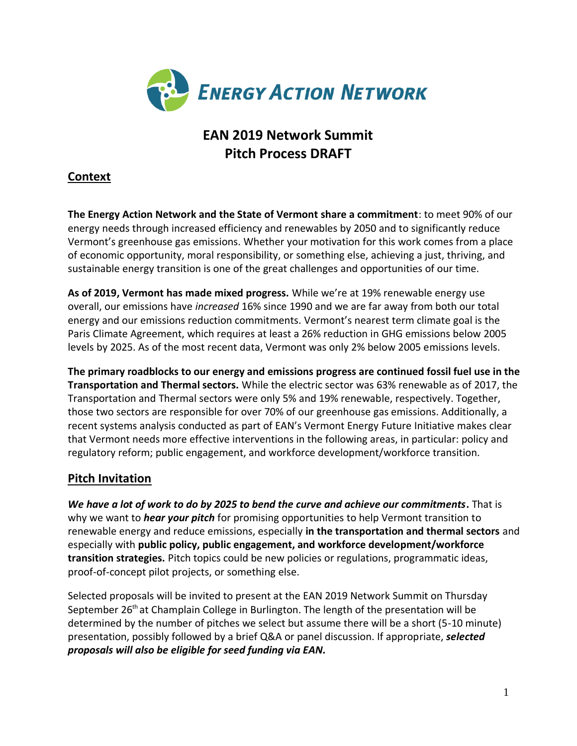

# **EAN 2019 Network Summit Pitch Process DRAFT**

# **Context**

**The Energy Action Network and the State of Vermont share a commitment**: to meet 90% of our energy needs through increased efficiency and renewables by 2050 and to significantly reduce Vermont's greenhouse gas emissions. Whether your motivation for this work comes from a place of economic opportunity, moral responsibility, or something else, achieving a just, thriving, and sustainable energy transition is one of the great challenges and opportunities of our time.

**As of 2019, Vermont has made mixed progress.** While we're at 19% renewable energy use overall, our emissions have *increased* 16% since 1990 and we are far away from both our total energy and our emissions reduction commitments. Vermont's nearest term climate goal is the Paris Climate Agreement, which requires at least a 26% reduction in GHG emissions below 2005 levels by 2025. As of the most recent data, Vermont was only 2% below 2005 emissions levels.

**The primary roadblocks to our energy and emissions progress are continued fossil fuel use in the Transportation and Thermal sectors.** While the electric sector was 63% renewable as of 2017, the Transportation and Thermal sectors were only 5% and 19% renewable, respectively. Together, those two sectors are responsible for over 70% of our greenhouse gas emissions. Additionally, a recent systems analysis conducted as part of EAN's Vermont Energy Future Initiative makes clear that Vermont needs more effective interventions in the following areas, in particular: policy and regulatory reform; public engagement, and workforce development/workforce transition.

# **Pitch Invitation**

*We have a lot of work to do by 2025 to bend the curve and achieve our commitments***.** That is why we want to *hear your pitch* for promising opportunities to help Vermont transition to renewable energy and reduce emissions, especially **in the transportation and thermal sectors** and especially with **public policy, public engagement, and workforce development/workforce transition strategies.** Pitch topics could be new policies or regulations, programmatic ideas, proof-of-concept pilot projects, or something else.

Selected proposals will be invited to present at the EAN 2019 Network Summit on Thursday September  $26<sup>th</sup>$  at Champlain College in Burlington. The length of the presentation will be determined by the number of pitches we select but assume there will be a short (5-10 minute) presentation, possibly followed by a brief Q&A or panel discussion. If appropriate, *selected proposals will also be eligible for seed funding via EAN.*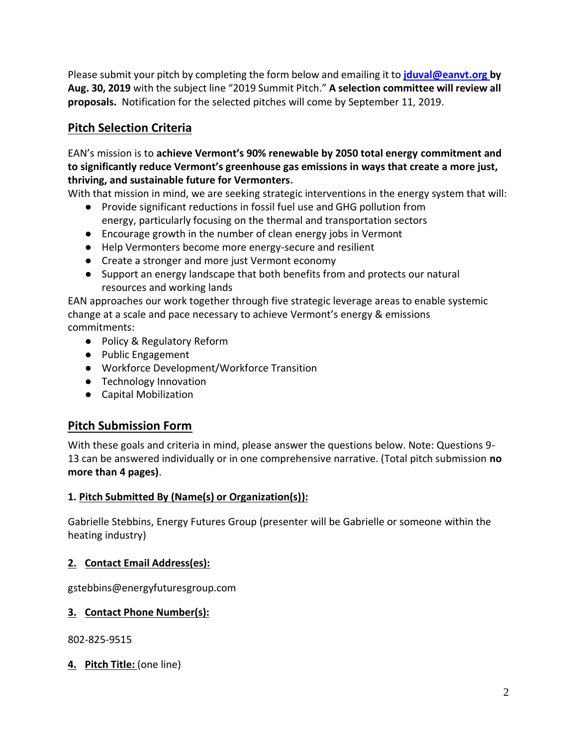Please submit your pitch by completing the form below and emailing it to **[jduval@eanvt.org](mailto:jduval@eanvt.org) by Aug. 30, 2019** with the subject line "2019 Summit Pitch." **A selection committee will review all proposals.** Notification for the selected pitches will come by September 11, 2019.

# **Pitch Selection Criteria**

### EAN's mission is to **achieve Vermont's 90% renewable by 2050 total energy commitment and to significantly reduce Vermont's greenhouse gas emissions in ways that create a more just, thriving, and sustainable future for Vermonters.**

With that mission in mind, we are seeking strategic interventions in the energy system that will:

- Provide significant reductions in fossil fuel use and GHG pollution from energy, particularly focusing on the thermal and transportation sectors
- Encourage growth in the number of clean energy jobs in Vermont
- Help Vermonters become more energy-secure and resilient
- Create a stronger and more just Vermont economy
- Support an energy landscape that both benefits from and protects our natural resources and working lands

EAN approaches our work together through five strategic leverage areas to enable systemic change at a scale and pace necessary to achieve Vermont's energy & emissions commitments:

- Policy & Regulatory Reform
- Public Engagement
- Workforce Development/Workforce Transition
- Technology Innovation
- Capital Mobilization

# **Pitch Submission Form**

With these goals and criteria in mind, please answer the questions below. Note: Questions 9- 13 can be answered individually or in one comprehensive narrative. (Total pitch submission **no more than 4 pages)**.

## **1. Pitch Submitted By (Name(s) or Organization(s)):**

Gabrielle Stebbins, Energy Futures Group (presenter will be Gabrielle or someone within the heating industry)

# **2. Contact Email Address(es):**

gstebbins@energyfuturesgroup.com

## **3. Contact Phone Number(s):**

802-825-9515

**4. Pitch Title:** (one line)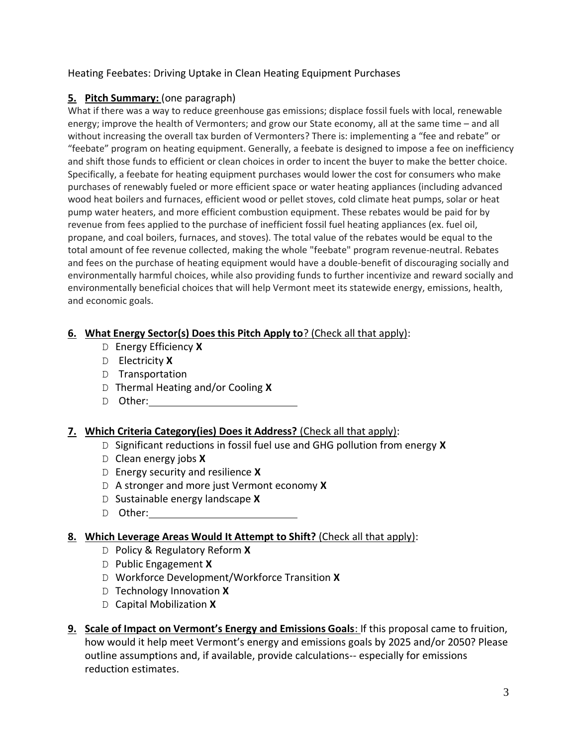### Heating Feebates: Driving Uptake in Clean Heating Equipment Purchases

## **5. Pitch Summary:** (one paragraph)

What if there was a way to reduce greenhouse gas emissions; displace fossil fuels with local, renewable energy; improve the health of Vermonters; and grow our State economy, all at the same time – and all without increasing the overall tax burden of Vermonters? There is: implementing a "fee and rebate" or "feebate" program on heating equipment. Generally, a feebate is designed to impose a fee on inefficiency and shift those funds to efficient or clean choices in order to incent the buyer to make the better choice. Specifically, a feebate for heating equipment purchases would lower the cost for consumers who make purchases of renewably fueled or more efficient space or water heating appliances (including advanced wood heat boilers and furnaces, efficient wood or pellet stoves, cold climate heat pumps, solar or heat pump water heaters, and more efficient combustion equipment. These rebates would be paid for by revenue from fees applied to the purchase of inefficient fossil fuel heating appliances (ex. fuel oil, propane, and coal boilers, furnaces, and stoves). The total value of the rebates would be equal to the total amount of fee revenue collected, making the whole "feebate" program revenue-neutral. Rebates and fees on the purchase of heating equipment would have a double-benefit of discouraging socially and environmentally harmful choices, while also providing funds to further incentivize and reward socially and environmentally beneficial choices that will help Vermont meet its statewide energy, emissions, health, and economic goals.

## **6. What Energy Sector(s) Does this Pitch Apply to**? (Check all that apply):

- D Energy Efficiency **X**
- D Electricity **X**
- D Transportation
- D Thermal Heating and/or Cooling **X**
- D Other:

## **7. Which Criteria Category(ies) Does it Address?** (Check all that apply):

- D Significant reductions in fossil fuel use and GHG pollution from energy **X**
- D Clean energy jobs **X**
- D Energy security and resilience **X**
- D A stronger and more just Vermont economy **X**
- D Sustainable energy landscape **X**
- D Other:

#### **8. Which Leverage Areas Would It Attempt to Shift?** (Check all that apply):

- D Policy & Regulatory Reform **X**
- D Public Engagement **X**
- D Workforce Development/Workforce Transition **X**
- D Technology Innovation **X**
- D Capital Mobilization **X**
- **9. Scale of Impact on Vermont's Energy and Emissions Goals**: If this proposal came to fruition, how would it help meet Vermont's energy and emissions goals by 2025 and/or 2050? Please outline assumptions and, if available, provide calculations-- especially for emissions reduction estimates.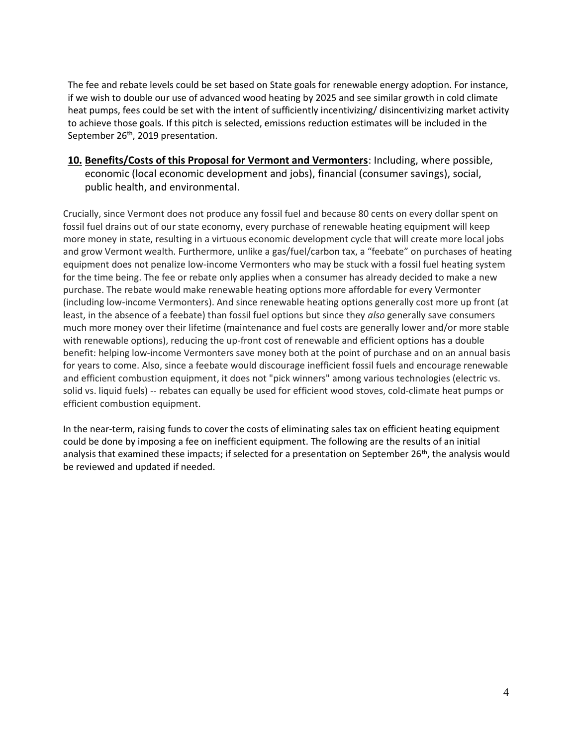The fee and rebate levels could be set based on State goals for renewable energy adoption. For instance, if we wish to double our use of advanced wood heating by 2025 and see similar growth in cold climate heat pumps, fees could be set with the intent of sufficiently incentivizing/ disincentivizing market activity to achieve those goals. If this pitch is selected, emissions reduction estimates will be included in the September 26<sup>th</sup>, 2019 presentation.

**10. Benefits/Costs of this Proposal for Vermont and Vermonters**: Including, where possible, economic (local economic development and jobs), financial (consumer savings), social, public health, and environmental.

Crucially, since Vermont does not produce any fossil fuel and because 80 cents on every dollar spent on fossil fuel drains out of our state economy, every purchase of renewable heating equipment will keep more money in state, resulting in a virtuous economic development cycle that will create more local jobs and grow Vermont wealth. Furthermore, unlike a gas/fuel/carbon tax, a "feebate" on purchases of heating equipment does not penalize low-income Vermonters who may be stuck with a fossil fuel heating system for the time being. The fee or rebate only applies when a consumer has already decided to make a new purchase. The rebate would make renewable heating options more affordable for every Vermonter (including low-income Vermonters). And since renewable heating options generally cost more up front (at least, in the absence of a feebate) than fossil fuel options but since they *also* generally save consumers much more money over their lifetime (maintenance and fuel costs are generally lower and/or more stable with renewable options), reducing the up-front cost of renewable and efficient options has a double benefit: helping low-income Vermonters save money both at the point of purchase and on an annual basis for years to come. Also, since a feebate would discourage inefficient fossil fuels and encourage renewable and efficient combustion equipment, it does not "pick winners" among various technologies (electric vs. solid vs. liquid fuels) -- rebates can equally be used for efficient wood stoves, cold-climate heat pumps or efficient combustion equipment.

In the near-term, raising funds to cover the costs of eliminating sales tax on efficient heating equipment could be done by imposing a fee on inefficient equipment. The following are the results of an initial analysis that examined these impacts; if selected for a presentation on September 26<sup>th</sup>, the analysis would be reviewed and updated if needed.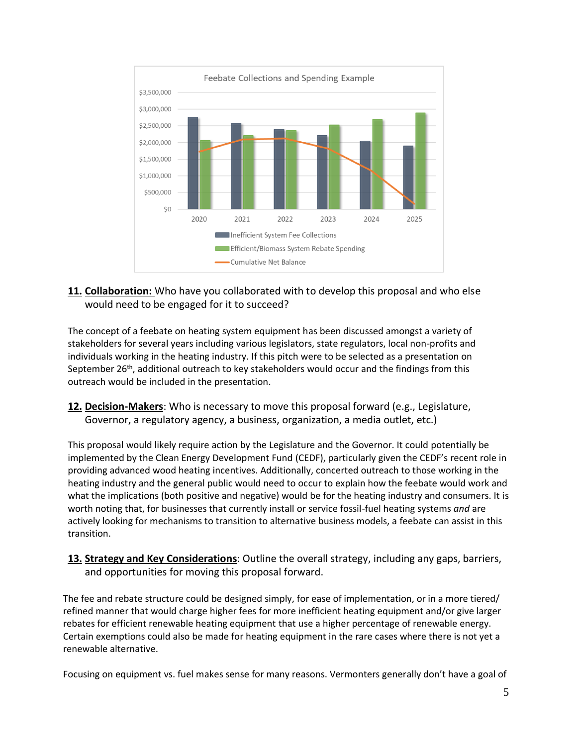

### **11. Collaboration:** Who have you collaborated with to develop this proposal and who else would need to be engaged for it to succeed?

The concept of a feebate on heating system equipment has been discussed amongst a variety of stakeholders for several years including various legislators, state regulators, local non-profits and individuals working in the heating industry. If this pitch were to be selected as a presentation on September 26<sup>th</sup>, additional outreach to key stakeholders would occur and the findings from this outreach would be included in the presentation.

**12. Decision-Makers**: Who is necessary to move this proposal forward (e.g., Legislature, Governor, a regulatory agency, a business, organization, a media outlet, etc.)

This proposal would likely require action by the Legislature and the Governor. It could potentially be implemented by the Clean Energy Development Fund (CEDF), particularly given the CEDF's recent role in providing advanced wood heating incentives. Additionally, concerted outreach to those working in the heating industry and the general public would need to occur to explain how the feebate would work and what the implications (both positive and negative) would be for the heating industry and consumers. It is worth noting that, for businesses that currently install or service fossil-fuel heating systems *and* are actively looking for mechanisms to transition to alternative business models, a feebate can assist in this transition.

**13. Strategy and Key Considerations**: Outline the overall strategy, including any gaps, barriers, and opportunities for moving this proposal forward.

The fee and rebate structure could be designed simply, for ease of implementation, or in a more tiered/ refined manner that would charge higher fees for more inefficient heating equipment and/or give larger rebates for efficient renewable heating equipment that use a higher percentage of renewable energy. Certain exemptions could also be made for heating equipment in the rare cases where there is not yet a renewable alternative.

Focusing on equipment vs. fuel makes sense for many reasons. Vermonters generally don't have a goal of